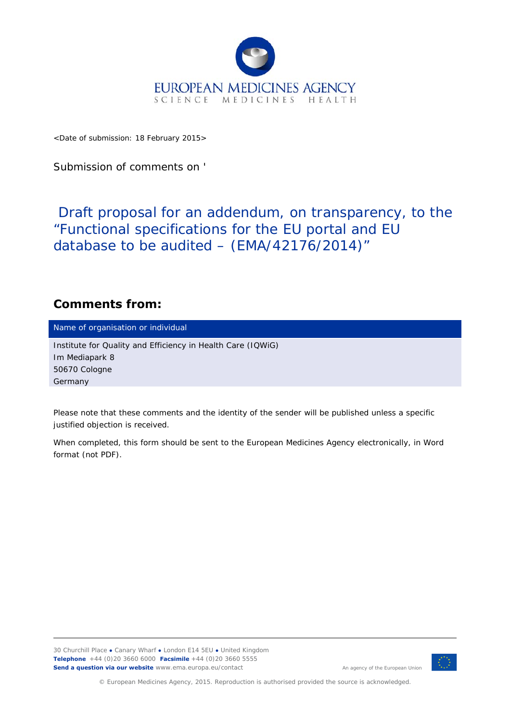

<Date of submission: 18 February 2015>

Submission of comments on '

Draft proposal for an addendum, on transparency, to the "Functional specifications for the EU portal and EU database to be audited – (EMA/42176/2014)"

## **Comments from:**

Name of organisation or individual

Institute for Quality and Efficiency in Health Care (IQWiG) Im Mediapark 8 50670 Cologne Germany

*Please note that these comments and the identity of the sender will be published unless a specific justified objection is received.* 

*When completed, this form should be sent to the European Medicines Agency electronically, in Word format (not PDF).* 

30 Churchill Place **●** Canary Wharf **●** London E14 5EU **●** United Kingdom **Telephone** +44 (0)20 3660 6000 **Facsimile** +44 (0)20 3660 5555 **Send a question via our website** www.ema.europa.eu/contact



An agency of the European Union

© European Medicines Agency, 2015. Reproduction is authorised provided the source is acknowledged.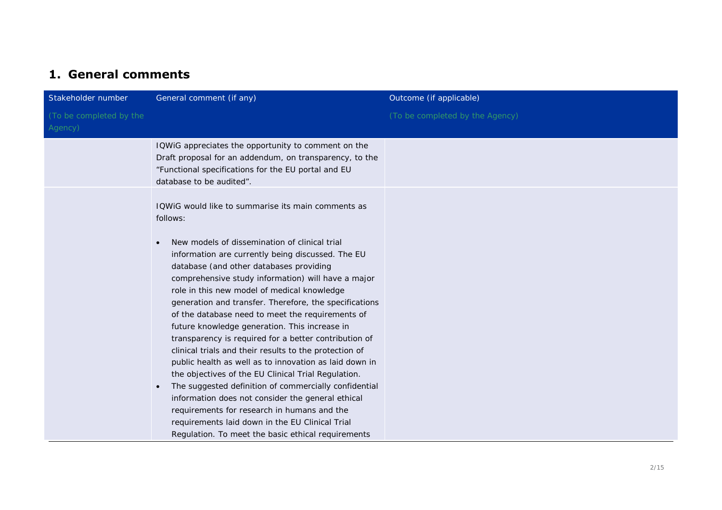## **1. General comments**

| Stakeholder number                 | General comment (if any)                                                                                                                                                                                                                                                                                                                                                                                                                                                                                                                                                                                                                                                                                                                                                                                                                                                                                                                             | Outcome (if applicable)         |
|------------------------------------|------------------------------------------------------------------------------------------------------------------------------------------------------------------------------------------------------------------------------------------------------------------------------------------------------------------------------------------------------------------------------------------------------------------------------------------------------------------------------------------------------------------------------------------------------------------------------------------------------------------------------------------------------------------------------------------------------------------------------------------------------------------------------------------------------------------------------------------------------------------------------------------------------------------------------------------------------|---------------------------------|
| (To be completed by the<br>Agency) |                                                                                                                                                                                                                                                                                                                                                                                                                                                                                                                                                                                                                                                                                                                                                                                                                                                                                                                                                      | (To be completed by the Agency) |
|                                    | IQWIG appreciates the opportunity to comment on the<br>Draft proposal for an addendum, on transparency, to the<br>"Functional specifications for the EU portal and EU<br>database to be audited".                                                                                                                                                                                                                                                                                                                                                                                                                                                                                                                                                                                                                                                                                                                                                    |                                 |
|                                    | IQWIG would like to summarise its main comments as<br>follows:<br>New models of dissemination of clinical trial<br>information are currently being discussed. The EU<br>database (and other databases providing<br>comprehensive study information) will have a major<br>role in this new model of medical knowledge<br>generation and transfer. Therefore, the specifications<br>of the database need to meet the requirements of<br>future knowledge generation. This increase in<br>transparency is required for a better contribution of<br>clinical trials and their results to the protection of<br>public health as well as to innovation as laid down in<br>the objectives of the EU Clinical Trial Regulation.<br>The suggested definition of commercially confidential<br>$\bullet$<br>information does not consider the general ethical<br>requirements for research in humans and the<br>requirements laid down in the EU Clinical Trial |                                 |
|                                    | Regulation. To meet the basic ethical requirements                                                                                                                                                                                                                                                                                                                                                                                                                                                                                                                                                                                                                                                                                                                                                                                                                                                                                                   |                                 |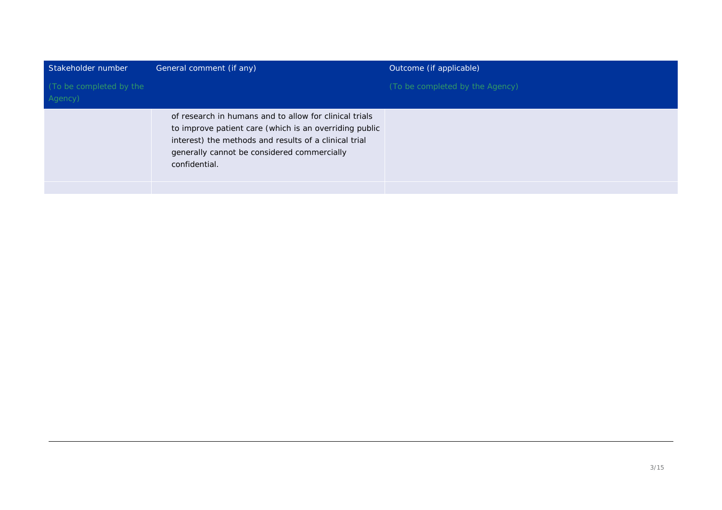| Stakeholder number                 | General comment (if any)                                                                                                                                                                                                                  | Outcome (if applicable)         |
|------------------------------------|-------------------------------------------------------------------------------------------------------------------------------------------------------------------------------------------------------------------------------------------|---------------------------------|
| (To be completed by the<br>Agency) |                                                                                                                                                                                                                                           | (To be completed by the Agency) |
|                                    | of research in humans and to allow for clinical trials<br>to improve patient care (which is an overriding public<br>interest) the methods and results of a clinical trial<br>generally cannot be considered commercially<br>confidential. |                                 |
|                                    |                                                                                                                                                                                                                                           |                                 |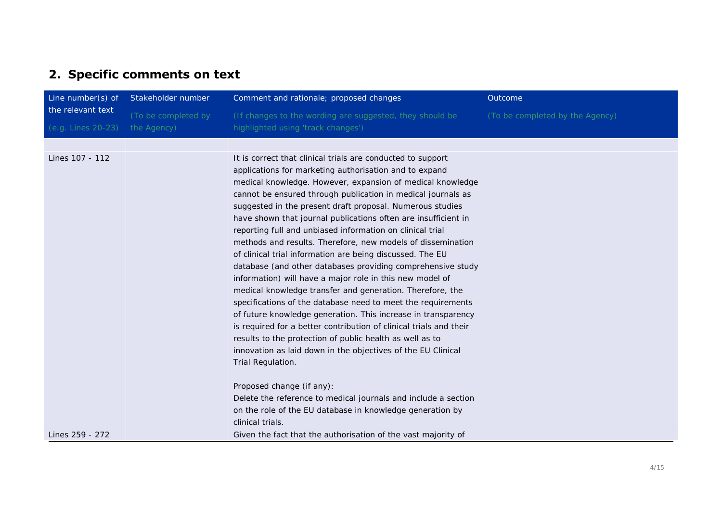## **2. Specific comments on text**

| Line number(s) of  | Stakeholder number  | Comment and rationale; proposed changes                                                                                                                                                                                                                                                                                                                                                                                                                                                                                                                                                                                                                                                                                                                                                                                                                                                                                                                                                                                                                                                                                                                                                                                                                                                                     | Outcome                         |
|--------------------|---------------------|-------------------------------------------------------------------------------------------------------------------------------------------------------------------------------------------------------------------------------------------------------------------------------------------------------------------------------------------------------------------------------------------------------------------------------------------------------------------------------------------------------------------------------------------------------------------------------------------------------------------------------------------------------------------------------------------------------------------------------------------------------------------------------------------------------------------------------------------------------------------------------------------------------------------------------------------------------------------------------------------------------------------------------------------------------------------------------------------------------------------------------------------------------------------------------------------------------------------------------------------------------------------------------------------------------------|---------------------------------|
| the relevant text  | (To be completed by | (If changes to the wording are suggested, they should be                                                                                                                                                                                                                                                                                                                                                                                                                                                                                                                                                                                                                                                                                                                                                                                                                                                                                                                                                                                                                                                                                                                                                                                                                                                    | (To be completed by the Agency) |
| (e.g. Lines 20-23) | the Agency)         | highlighted using 'track changes')                                                                                                                                                                                                                                                                                                                                                                                                                                                                                                                                                                                                                                                                                                                                                                                                                                                                                                                                                                                                                                                                                                                                                                                                                                                                          |                                 |
|                    |                     |                                                                                                                                                                                                                                                                                                                                                                                                                                                                                                                                                                                                                                                                                                                                                                                                                                                                                                                                                                                                                                                                                                                                                                                                                                                                                                             |                                 |
| Lines 107 - 112    |                     | It is correct that clinical trials are conducted to support<br>applications for marketing authorisation and to expand<br>medical knowledge. However, expansion of medical knowledge<br>cannot be ensured through publication in medical journals as<br>suggested in the present draft proposal. Numerous studies<br>have shown that journal publications often are insufficient in<br>reporting full and unbiased information on clinical trial<br>methods and results. Therefore, new models of dissemination<br>of clinical trial information are being discussed. The EU<br>database (and other databases providing comprehensive study<br>information) will have a major role in this new model of<br>medical knowledge transfer and generation. Therefore, the<br>specifications of the database need to meet the requirements<br>of future knowledge generation. This increase in transparency<br>is required for a better contribution of clinical trials and their<br>results to the protection of public health as well as to<br>innovation as laid down in the objectives of the EU Clinical<br>Trial Regulation.<br>Proposed change (if any):<br>Delete the reference to medical journals and include a section<br>on the role of the EU database in knowledge generation by<br>clinical trials. |                                 |
| Lines 259 - 272    |                     | Given the fact that the authorisation of the vast majority of                                                                                                                                                                                                                                                                                                                                                                                                                                                                                                                                                                                                                                                                                                                                                                                                                                                                                                                                                                                                                                                                                                                                                                                                                                               |                                 |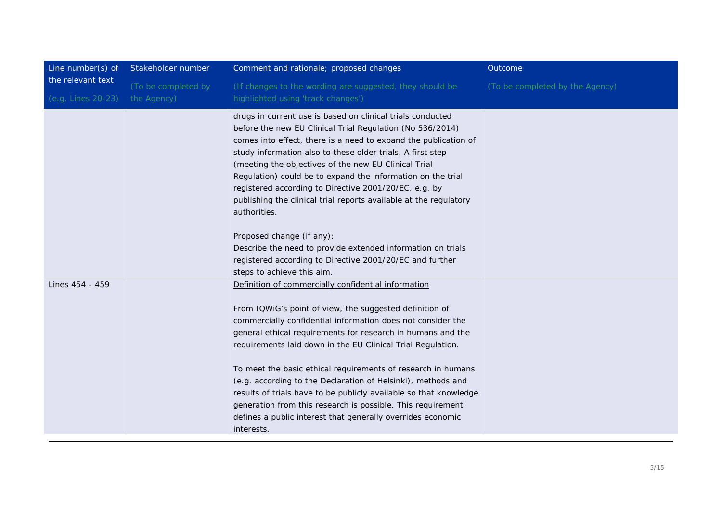| Line number(s) of  | Stakeholder number  | Comment and rationale; proposed changes                                                                                                                                                                                                                                                                                                                                                                                                                                                                                                                                                                                                                      | Outcome                         |
|--------------------|---------------------|--------------------------------------------------------------------------------------------------------------------------------------------------------------------------------------------------------------------------------------------------------------------------------------------------------------------------------------------------------------------------------------------------------------------------------------------------------------------------------------------------------------------------------------------------------------------------------------------------------------------------------------------------------------|---------------------------------|
| the relevant text  | (To be completed by | (If changes to the wording are suggested, they should be                                                                                                                                                                                                                                                                                                                                                                                                                                                                                                                                                                                                     | (To be completed by the Agency) |
| (e.g. Lines 20-23) | the Agency)         | highlighted using 'track changes')                                                                                                                                                                                                                                                                                                                                                                                                                                                                                                                                                                                                                           |                                 |
|                    |                     | drugs in current use is based on clinical trials conducted<br>before the new EU Clinical Trial Regulation (No 536/2014)<br>comes into effect, there is a need to expand the publication of<br>study information also to these older trials. A first step<br>(meeting the objectives of the new EU Clinical Trial<br>Regulation) could be to expand the information on the trial<br>registered according to Directive 2001/20/EC, e.g. by<br>publishing the clinical trial reports available at the regulatory<br>authorities.                                                                                                                                |                                 |
|                    |                     | Proposed change (if any):<br>Describe the need to provide extended information on trials<br>registered according to Directive 2001/20/EC and further<br>steps to achieve this aim.                                                                                                                                                                                                                                                                                                                                                                                                                                                                           |                                 |
| Lines 454 - 459    |                     | Definition of commercially confidential information<br>From IQWiG's point of view, the suggested definition of<br>commercially confidential information does not consider the<br>general ethical requirements for research in humans and the<br>requirements laid down in the EU Clinical Trial Regulation.<br>To meet the basic ethical requirements of research in humans<br>(e.g. according to the Declaration of Helsinki), methods and<br>results of trials have to be publicly available so that knowledge<br>generation from this research is possible. This requirement<br>defines a public interest that generally overrides economic<br>interests. |                                 |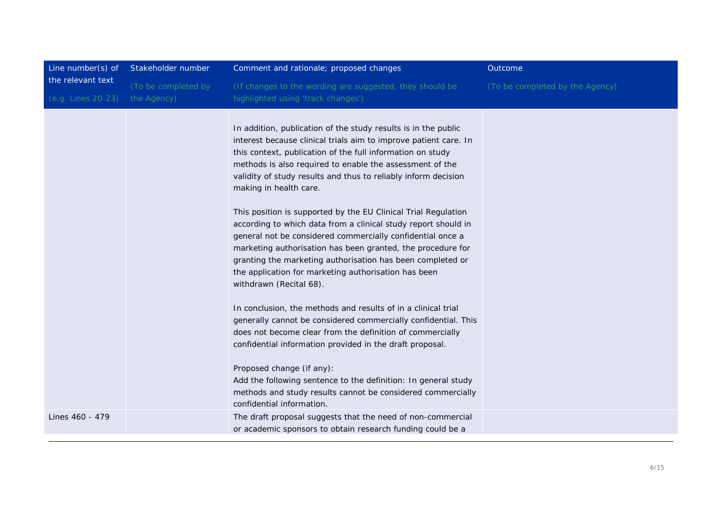| Line number(s) of  | Stakeholder number  | Comment and rationale; proposed changes                                                                                                                                                                                                                                                                                                                                                                                                                                                                                                                                                                                                                                                                                                                                                                                                                                                                                                                                                                                                                                                                                                                                                              | Outcome                         |
|--------------------|---------------------|------------------------------------------------------------------------------------------------------------------------------------------------------------------------------------------------------------------------------------------------------------------------------------------------------------------------------------------------------------------------------------------------------------------------------------------------------------------------------------------------------------------------------------------------------------------------------------------------------------------------------------------------------------------------------------------------------------------------------------------------------------------------------------------------------------------------------------------------------------------------------------------------------------------------------------------------------------------------------------------------------------------------------------------------------------------------------------------------------------------------------------------------------------------------------------------------------|---------------------------------|
| the relevant text  | (To be completed by | (If changes to the wording are suggested, they should be                                                                                                                                                                                                                                                                                                                                                                                                                                                                                                                                                                                                                                                                                                                                                                                                                                                                                                                                                                                                                                                                                                                                             | (To be completed by the Agency) |
| (e.g. Lines 20-23) | the Agency)         | highlighted using 'track changes')                                                                                                                                                                                                                                                                                                                                                                                                                                                                                                                                                                                                                                                                                                                                                                                                                                                                                                                                                                                                                                                                                                                                                                   |                                 |
|                    |                     | In addition, publication of the study results is in the public<br>interest because clinical trials aim to improve patient care. In<br>this context, publication of the full information on study<br>methods is also required to enable the assessment of the<br>validity of study results and thus to reliably inform decision<br>making in health care.<br>This position is supported by the EU Clinical Trial Regulation<br>according to which data from a clinical study report should in<br>general not be considered commercially confidential once a<br>marketing authorisation has been granted, the procedure for<br>granting the marketing authorisation has been completed or<br>the application for marketing authorisation has been<br>withdrawn (Recital 68).<br>In conclusion, the methods and results of in a clinical trial<br>generally cannot be considered commercially confidential. This<br>does not become clear from the definition of commercially<br>confidential information provided in the draft proposal.<br>Proposed change (if any):<br>Add the following sentence to the definition: In general study<br>methods and study results cannot be considered commercially |                                 |
|                    |                     | confidential information.                                                                                                                                                                                                                                                                                                                                                                                                                                                                                                                                                                                                                                                                                                                                                                                                                                                                                                                                                                                                                                                                                                                                                                            |                                 |
| Lines 460 - 479    |                     | The draft proposal suggests that the need of non-commercial<br>or academic sponsors to obtain research funding could be a                                                                                                                                                                                                                                                                                                                                                                                                                                                                                                                                                                                                                                                                                                                                                                                                                                                                                                                                                                                                                                                                            |                                 |
|                    |                     |                                                                                                                                                                                                                                                                                                                                                                                                                                                                                                                                                                                                                                                                                                                                                                                                                                                                                                                                                                                                                                                                                                                                                                                                      |                                 |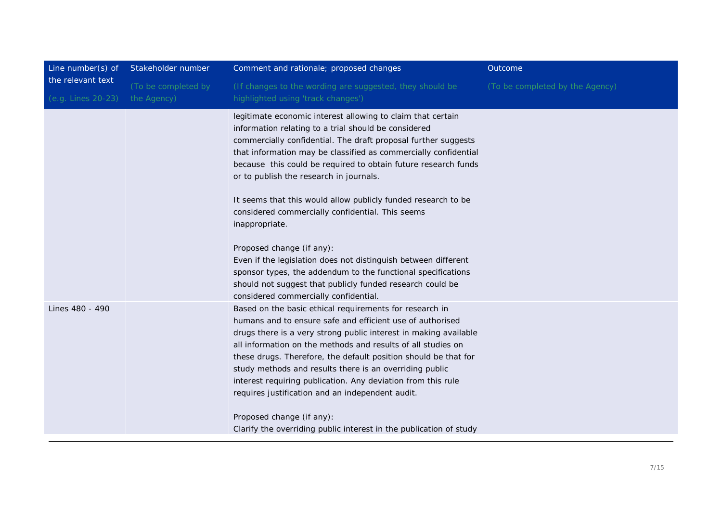| Line number(s) of  | Stakeholder number  | Comment and rationale; proposed changes                                                                                                                                                                                                                                                                                                                                                                                                                                                                                                                                                                                                                                     | Outcome                         |
|--------------------|---------------------|-----------------------------------------------------------------------------------------------------------------------------------------------------------------------------------------------------------------------------------------------------------------------------------------------------------------------------------------------------------------------------------------------------------------------------------------------------------------------------------------------------------------------------------------------------------------------------------------------------------------------------------------------------------------------------|---------------------------------|
| the relevant text  | (To be completed by | (If changes to the wording are suggested, they should be                                                                                                                                                                                                                                                                                                                                                                                                                                                                                                                                                                                                                    | (To be completed by the Agency) |
| (e.g. Lines 20-23) | the Agency)         | highlighted using 'track changes')                                                                                                                                                                                                                                                                                                                                                                                                                                                                                                                                                                                                                                          |                                 |
|                    |                     | legitimate economic interest allowing to claim that certain<br>information relating to a trial should be considered<br>commercially confidential. The draft proposal further suggests<br>that information may be classified as commercially confidential<br>because this could be required to obtain future research funds<br>or to publish the research in journals.<br>It seems that this would allow publicly funded research to be<br>considered commercially confidential. This seems<br>inappropriate.<br>Proposed change (if any):<br>Even if the legislation does not distinguish between different<br>sponsor types, the addendum to the functional specifications |                                 |
|                    |                     | should not suggest that publicly funded research could be<br>considered commercially confidential.                                                                                                                                                                                                                                                                                                                                                                                                                                                                                                                                                                          |                                 |
| Lines 480 - 490    |                     | Based on the basic ethical requirements for research in<br>humans and to ensure safe and efficient use of authorised<br>drugs there is a very strong public interest in making available<br>all information on the methods and results of all studies on<br>these drugs. Therefore, the default position should be that for<br>study methods and results there is an overriding public<br>interest requiring publication. Any deviation from this rule<br>requires justification and an independent audit.<br>Proposed change (if any):                                                                                                                                     |                                 |
|                    |                     | Clarify the overriding public interest in the publication of study                                                                                                                                                                                                                                                                                                                                                                                                                                                                                                                                                                                                          |                                 |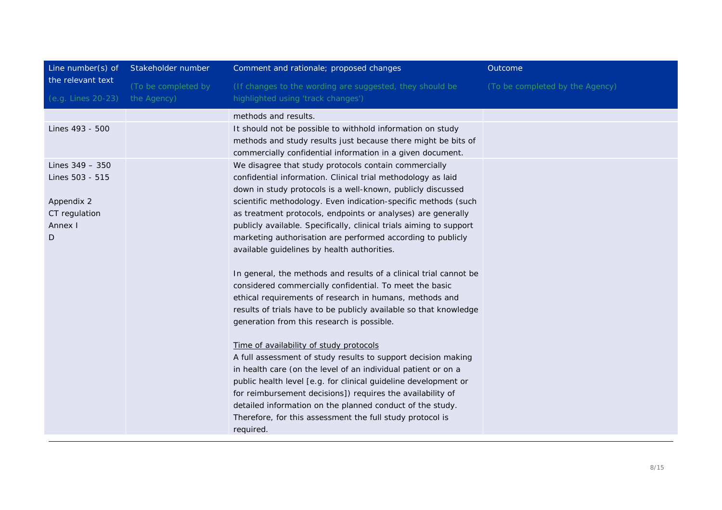| Line number(s) of                    | Stakeholder number  | Comment and rationale; proposed changes                                                                                                                                                   | Outcome                         |
|--------------------------------------|---------------------|-------------------------------------------------------------------------------------------------------------------------------------------------------------------------------------------|---------------------------------|
| the relevant text                    | (To be completed by | (If changes to the wording are suggested, they should be                                                                                                                                  | (To be completed by the Agency) |
| (e.g. Lines 20-23)                   | the Agency)         | highlighted using 'track changes')                                                                                                                                                        |                                 |
|                                      |                     | methods and results.                                                                                                                                                                      |                                 |
| Lines 493 - 500                      |                     | It should not be possible to withhold information on study<br>methods and study results just because there might be bits of<br>commercially confidential information in a given document. |                                 |
| Lines $349 - 350$<br>Lines 503 - 515 |                     | We disagree that study protocols contain commercially<br>confidential information. Clinical trial methodology as laid<br>down in study protocols is a well-known, publicly discussed      |                                 |
| Appendix 2                           |                     | scientific methodology. Even indication-specific methods (such                                                                                                                            |                                 |
| CT regulation                        |                     | as treatment protocols, endpoints or analyses) are generally                                                                                                                              |                                 |
| Annex I                              |                     | publicly available. Specifically, clinical trials aiming to support                                                                                                                       |                                 |
| D                                    |                     | marketing authorisation are performed according to publicly<br>available guidelines by health authorities.                                                                                |                                 |
|                                      |                     | In general, the methods and results of a clinical trial cannot be                                                                                                                         |                                 |
|                                      |                     | considered commercially confidential. To meet the basic                                                                                                                                   |                                 |
|                                      |                     | ethical requirements of research in humans, methods and<br>results of trials have to be publicly available so that knowledge                                                              |                                 |
|                                      |                     | generation from this research is possible.                                                                                                                                                |                                 |
|                                      |                     | Time of availability of study protocols                                                                                                                                                   |                                 |
|                                      |                     | A full assessment of study results to support decision making                                                                                                                             |                                 |
|                                      |                     | in health care (on the level of an individual patient or on a                                                                                                                             |                                 |
|                                      |                     | public health level [e.g. for clinical guideline development or<br>for reimbursement decisions]) requires the availability of                                                             |                                 |
|                                      |                     | detailed information on the planned conduct of the study.                                                                                                                                 |                                 |
|                                      |                     | Therefore, for this assessment the full study protocol is                                                                                                                                 |                                 |
|                                      |                     | required.                                                                                                                                                                                 |                                 |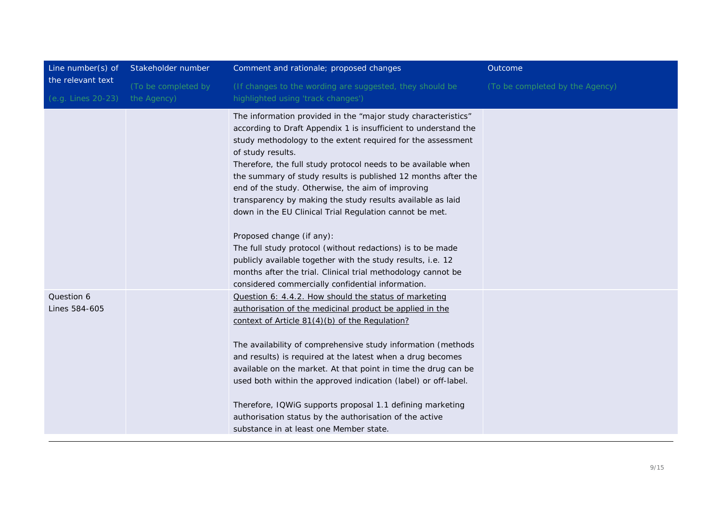|                     |                                                                                                                                                                                                                                                                                                                                                                                                                                                                                                                                                                                                          | Outcome                         |
|---------------------|----------------------------------------------------------------------------------------------------------------------------------------------------------------------------------------------------------------------------------------------------------------------------------------------------------------------------------------------------------------------------------------------------------------------------------------------------------------------------------------------------------------------------------------------------------------------------------------------------------|---------------------------------|
| (To be completed by | (If changes to the wording are suggested, they should be                                                                                                                                                                                                                                                                                                                                                                                                                                                                                                                                                 | (To be completed by the Agency) |
| the Agency)         | highlighted using 'track changes')                                                                                                                                                                                                                                                                                                                                                                                                                                                                                                                                                                       |                                 |
|                     | The information provided in the "major study characteristics"<br>according to Draft Appendix 1 is insufficient to understand the<br>study methodology to the extent required for the assessment<br>of study results.<br>Therefore, the full study protocol needs to be available when<br>the summary of study results is published 12 months after the<br>end of the study. Otherwise, the aim of improving<br>transparency by making the study results available as laid<br>down in the EU Clinical Trial Regulation cannot be met.                                                                     |                                 |
|                     | The full study protocol (without redactions) is to be made<br>publicly available together with the study results, i.e. 12<br>months after the trial. Clinical trial methodology cannot be<br>considered commercially confidential information.                                                                                                                                                                                                                                                                                                                                                           |                                 |
|                     | Question 6: 4.4.2. How should the status of marketing<br>authorisation of the medicinal product be applied in the<br>context of Article 81(4)(b) of the Regulation?<br>The availability of comprehensive study information (methods<br>and results) is required at the latest when a drug becomes<br>available on the market. At that point in time the drug can be<br>used both within the approved indication (label) or off-label.<br>Therefore, IQWiG supports proposal 1.1 defining marketing<br>authorisation status by the authorisation of the active<br>substance in at least one Member state. |                                 |
|                     |                                                                                                                                                                                                                                                                                                                                                                                                                                                                                                                                                                                                          | Proposed change (if any):       |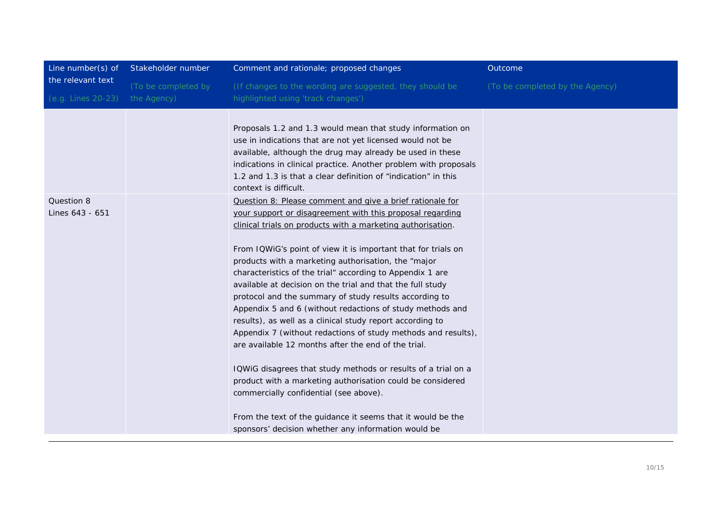| Line number(s) of             | Stakeholder number  | Comment and rationale; proposed changes                                                                                                                                                                                                                                                                                                                                                                                                                                                                                                                                                                                                                                                                                                                                                                                                                                                                                                                                                                                                             | Outcome                         |
|-------------------------------|---------------------|-----------------------------------------------------------------------------------------------------------------------------------------------------------------------------------------------------------------------------------------------------------------------------------------------------------------------------------------------------------------------------------------------------------------------------------------------------------------------------------------------------------------------------------------------------------------------------------------------------------------------------------------------------------------------------------------------------------------------------------------------------------------------------------------------------------------------------------------------------------------------------------------------------------------------------------------------------------------------------------------------------------------------------------------------------|---------------------------------|
| the relevant text             | (To be completed by | (If changes to the wording are suggested, they should be                                                                                                                                                                                                                                                                                                                                                                                                                                                                                                                                                                                                                                                                                                                                                                                                                                                                                                                                                                                            | (To be completed by the Agency) |
| (e.g. Lines 20-23)            | the Agency)         | highlighted using 'track changes')                                                                                                                                                                                                                                                                                                                                                                                                                                                                                                                                                                                                                                                                                                                                                                                                                                                                                                                                                                                                                  |                                 |
|                               |                     | Proposals 1.2 and 1.3 would mean that study information on<br>use in indications that are not yet licensed would not be<br>available, although the drug may already be used in these<br>indications in clinical practice. Another problem with proposals<br>1.2 and 1.3 is that a clear definition of "indication" in this<br>context is difficult.                                                                                                                                                                                                                                                                                                                                                                                                                                                                                                                                                                                                                                                                                                 |                                 |
| Question 8<br>Lines 643 - 651 |                     | Question 8: Please comment and give a brief rationale for<br>your support or disagreement with this proposal regarding<br>clinical trials on products with a marketing authorisation.<br>From IQWiG's point of view it is important that for trials on<br>products with a marketing authorisation, the "major<br>characteristics of the trial" according to Appendix 1 are<br>available at decision on the trial and that the full study<br>protocol and the summary of study results according to<br>Appendix 5 and 6 (without redactions of study methods and<br>results), as well as a clinical study report according to<br>Appendix 7 (without redactions of study methods and results),<br>are available 12 months after the end of the trial.<br>IQWiG disagrees that study methods or results of a trial on a<br>product with a marketing authorisation could be considered<br>commercially confidential (see above).<br>From the text of the guidance it seems that it would be the<br>sponsors' decision whether any information would be |                                 |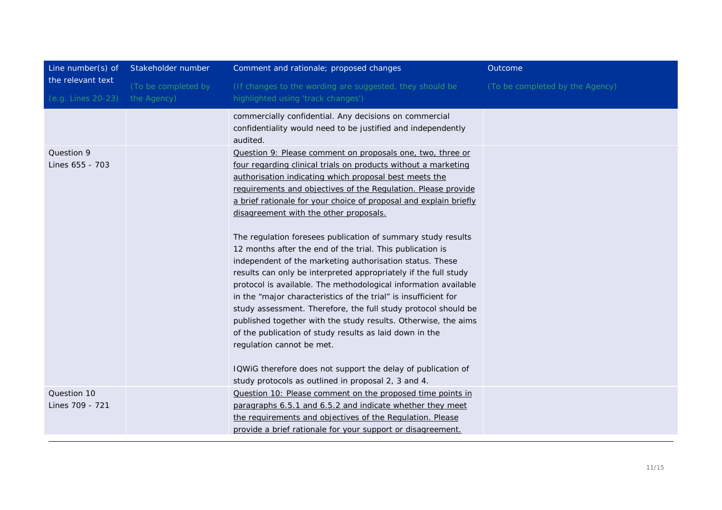| Line number(s) of  | Stakeholder number  | Comment and rationale; proposed changes                           | Outcome                         |
|--------------------|---------------------|-------------------------------------------------------------------|---------------------------------|
| the relevant text  | (To be completed by | (If changes to the wording are suggested, they should be          | (To be completed by the Agency) |
| (e.g. Lines 20-23) | the Agency)         | highlighted using 'track changes')                                |                                 |
|                    |                     | commercially confidential. Any decisions on commercial            |                                 |
|                    |                     | confidentiality would need to be justified and independently      |                                 |
|                    |                     | audited.                                                          |                                 |
| Question 9         |                     | Question 9: Please comment on proposals one, two, three or        |                                 |
| Lines 655 - 703    |                     | four regarding clinical trials on products without a marketing    |                                 |
|                    |                     | authorisation indicating which proposal best meets the            |                                 |
|                    |                     | requirements and objectives of the Requlation. Please provide     |                                 |
|                    |                     | a brief rationale for your choice of proposal and explain briefly |                                 |
|                    |                     | disagreement with the other proposals.                            |                                 |
|                    |                     |                                                                   |                                 |
|                    |                     | The regulation foresees publication of summary study results      |                                 |
|                    |                     | 12 months after the end of the trial. This publication is         |                                 |
|                    |                     | independent of the marketing authorisation status. These          |                                 |
|                    |                     | results can only be interpreted appropriately if the full study   |                                 |
|                    |                     | protocol is available. The methodological information available   |                                 |
|                    |                     | in the "major characteristics of the trial" is insufficient for   |                                 |
|                    |                     | study assessment. Therefore, the full study protocol should be    |                                 |
|                    |                     | published together with the study results. Otherwise, the aims    |                                 |
|                    |                     | of the publication of study results as laid down in the           |                                 |
|                    |                     | regulation cannot be met.                                         |                                 |
|                    |                     | IQWiG therefore does not support the delay of publication of      |                                 |
|                    |                     | study protocols as outlined in proposal 2, 3 and 4.               |                                 |
| Question 10        |                     |                                                                   |                                 |
|                    |                     | Question 10: Please comment on the proposed time points in        |                                 |
| Lines 709 - 721    |                     | paragraphs 6.5.1 and 6.5.2 and indicate whether they meet         |                                 |
|                    |                     | the requirements and objectives of the Requlation. Please         |                                 |
|                    |                     | provide a brief rationale for your support or disagreement.       |                                 |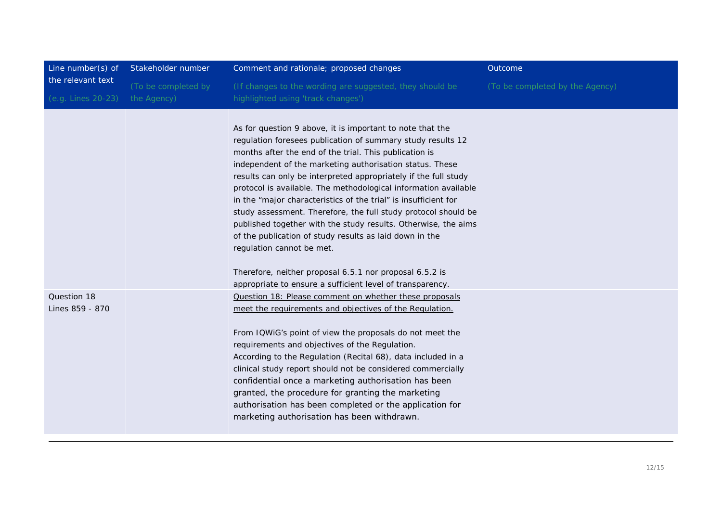| Line number(s) of                       | Stakeholder number                 | Comment and rationale; proposed changes                                                                                                                                                                                                                                                                                                                                                                                                                                                                                                                                                                                                                                                                                                                                                                     | Outcome                         |
|-----------------------------------------|------------------------------------|-------------------------------------------------------------------------------------------------------------------------------------------------------------------------------------------------------------------------------------------------------------------------------------------------------------------------------------------------------------------------------------------------------------------------------------------------------------------------------------------------------------------------------------------------------------------------------------------------------------------------------------------------------------------------------------------------------------------------------------------------------------------------------------------------------------|---------------------------------|
| the relevant text<br>(e.g. Lines 20-23) | (To be completed by<br>the Agency) | (If changes to the wording are suggested, they should be<br>highlighted using 'track changes')                                                                                                                                                                                                                                                                                                                                                                                                                                                                                                                                                                                                                                                                                                              | (To be completed by the Agency) |
|                                         |                                    | As for question 9 above, it is important to note that the<br>regulation foresees publication of summary study results 12<br>months after the end of the trial. This publication is<br>independent of the marketing authorisation status. These<br>results can only be interpreted appropriately if the full study<br>protocol is available. The methodological information available<br>in the "major characteristics of the trial" is insufficient for<br>study assessment. Therefore, the full study protocol should be<br>published together with the study results. Otherwise, the aims<br>of the publication of study results as laid down in the<br>regulation cannot be met.<br>Therefore, neither proposal 6.5.1 nor proposal 6.5.2 is<br>appropriate to ensure a sufficient level of transparency. |                                 |
| Question 18<br>Lines 859 - 870          |                                    | Question 18: Please comment on whether these proposals<br>meet the requirements and objectives of the Requlation.<br>From IQWiG's point of view the proposals do not meet the<br>requirements and objectives of the Regulation.<br>According to the Regulation (Recital 68), data included in a<br>clinical study report should not be considered commercially<br>confidential once a marketing authorisation has been<br>granted, the procedure for granting the marketing<br>authorisation has been completed or the application for<br>marketing authorisation has been withdrawn.                                                                                                                                                                                                                       |                                 |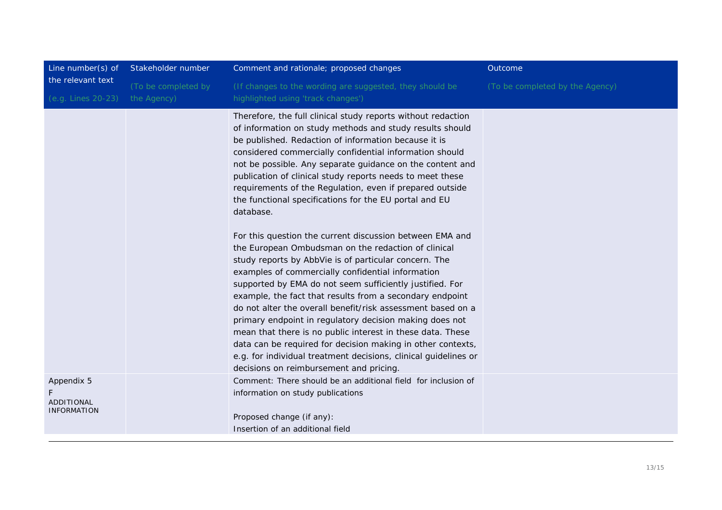| Line number(s) of                                     | Stakeholder number  | Comment and rationale; proposed changes                                                                                                                                                                                                                                                                                                                                                                                                                                                                                                                                                                                                                                                                                                                                                                                                                                                                                                                                                                                                                                                                                                                                                     | Outcome                         |
|-------------------------------------------------------|---------------------|---------------------------------------------------------------------------------------------------------------------------------------------------------------------------------------------------------------------------------------------------------------------------------------------------------------------------------------------------------------------------------------------------------------------------------------------------------------------------------------------------------------------------------------------------------------------------------------------------------------------------------------------------------------------------------------------------------------------------------------------------------------------------------------------------------------------------------------------------------------------------------------------------------------------------------------------------------------------------------------------------------------------------------------------------------------------------------------------------------------------------------------------------------------------------------------------|---------------------------------|
| the relevant text                                     | (To be completed by | (If changes to the wording are suggested, they should be                                                                                                                                                                                                                                                                                                                                                                                                                                                                                                                                                                                                                                                                                                                                                                                                                                                                                                                                                                                                                                                                                                                                    | (To be completed by the Agency) |
| (e.g. Lines 20-23)                                    | the Agency)         | highlighted using 'track changes')                                                                                                                                                                                                                                                                                                                                                                                                                                                                                                                                                                                                                                                                                                                                                                                                                                                                                                                                                                                                                                                                                                                                                          |                                 |
|                                                       |                     | Therefore, the full clinical study reports without redaction<br>of information on study methods and study results should<br>be published. Redaction of information because it is<br>considered commercially confidential information should<br>not be possible. Any separate guidance on the content and<br>publication of clinical study reports needs to meet these<br>requirements of the Regulation, even if prepared outside<br>the functional specifications for the EU portal and EU<br>database.<br>For this question the current discussion between EMA and<br>the European Ombudsman on the redaction of clinical<br>study reports by AbbVie is of particular concern. The<br>examples of commercially confidential information<br>supported by EMA do not seem sufficiently justified. For<br>example, the fact that results from a secondary endpoint<br>do not alter the overall benefit/risk assessment based on a<br>primary endpoint in regulatory decision making does not<br>mean that there is no public interest in these data. These<br>data can be required for decision making in other contexts,<br>e.g. for individual treatment decisions, clinical guidelines or |                                 |
|                                                       |                     | decisions on reimbursement and pricing.<br>Comment: There should be an additional field for inclusion of                                                                                                                                                                                                                                                                                                                                                                                                                                                                                                                                                                                                                                                                                                                                                                                                                                                                                                                                                                                                                                                                                    |                                 |
| Appendix 5<br><b>ADDITIONAL</b><br><b>INFORMATION</b> |                     | information on study publications                                                                                                                                                                                                                                                                                                                                                                                                                                                                                                                                                                                                                                                                                                                                                                                                                                                                                                                                                                                                                                                                                                                                                           |                                 |
|                                                       |                     | Proposed change (if any):                                                                                                                                                                                                                                                                                                                                                                                                                                                                                                                                                                                                                                                                                                                                                                                                                                                                                                                                                                                                                                                                                                                                                                   |                                 |
|                                                       |                     | Insertion of an additional field                                                                                                                                                                                                                                                                                                                                                                                                                                                                                                                                                                                                                                                                                                                                                                                                                                                                                                                                                                                                                                                                                                                                                            |                                 |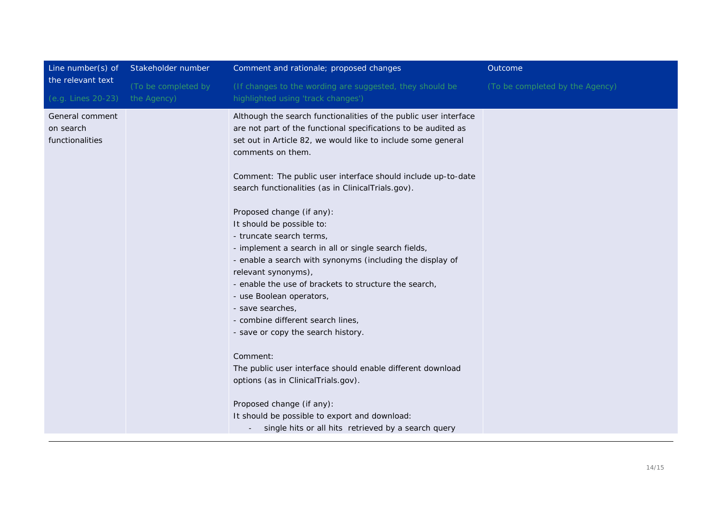| Line number(s) of  | Stakeholder number  | Comment and rationale; proposed changes                          | Outcome                         |
|--------------------|---------------------|------------------------------------------------------------------|---------------------------------|
| the relevant text  | (To be completed by | (If changes to the wording are suggested, they should be         | (To be completed by the Agency) |
| (e.g. Lines 20-23) | the Agency)         | highlighted using 'track changes')                               |                                 |
| General comment    |                     | Although the search functionalities of the public user interface |                                 |
| on search          |                     | are not part of the functional specifications to be audited as   |                                 |
| functionalities    |                     | set out in Article 82, we would like to include some general     |                                 |
|                    |                     | comments on them.                                                |                                 |
|                    |                     | Comment: The public user interface should include up-to-date     |                                 |
|                    |                     | search functionalities (as in ClinicalTrials.gov).               |                                 |
|                    |                     | Proposed change (if any):                                        |                                 |
|                    |                     | It should be possible to:                                        |                                 |
|                    |                     | - truncate search terms,                                         |                                 |
|                    |                     | - implement a search in all or single search fields,             |                                 |
|                    |                     | - enable a search with synonyms (including the display of        |                                 |
|                    |                     | relevant synonyms),                                              |                                 |
|                    |                     | - enable the use of brackets to structure the search,            |                                 |
|                    |                     | - use Boolean operators,                                         |                                 |
|                    |                     | - save searches,                                                 |                                 |
|                    |                     | - combine different search lines,                                |                                 |
|                    |                     | - save or copy the search history.                               |                                 |
|                    |                     | Comment:                                                         |                                 |
|                    |                     | The public user interface should enable different download       |                                 |
|                    |                     | options (as in ClinicalTrials.gov).                              |                                 |
|                    |                     | Proposed change (if any):                                        |                                 |
|                    |                     | It should be possible to export and download:                    |                                 |
|                    |                     | single hits or all hits retrieved by a search query              |                                 |